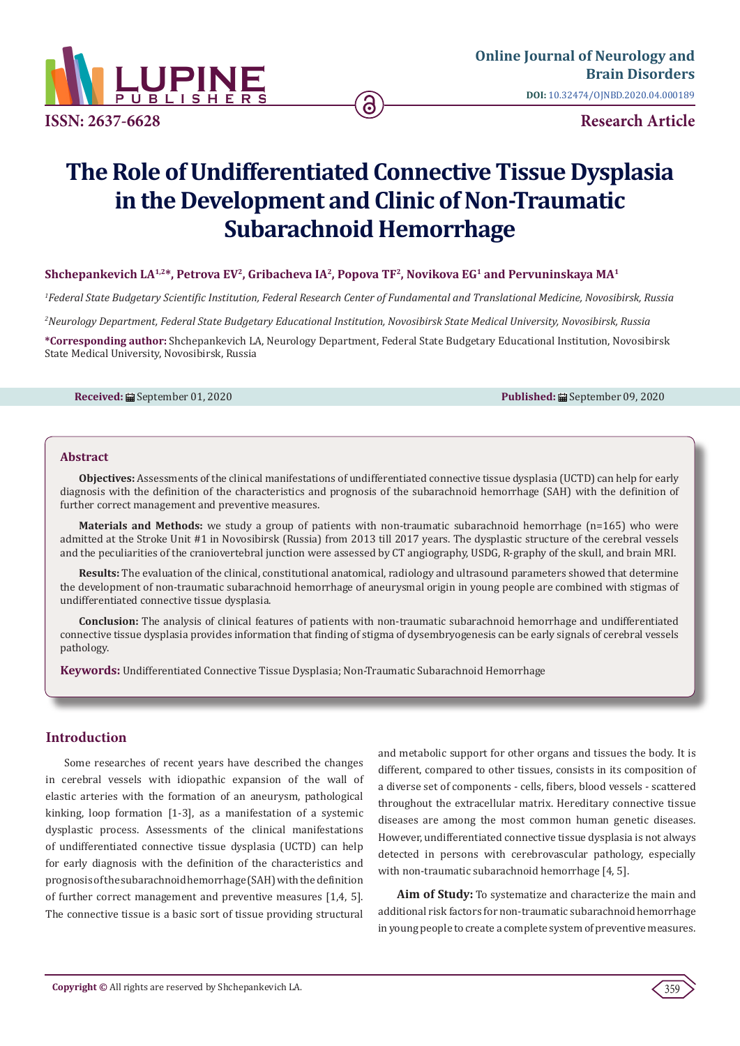

# **The Role of Undifferentiated Connective Tissue Dysplasia in the Development and Clinic of Non-Traumatic Subarachnoid Hemorrhage**

# Shchepankevich LA<sup>1,2\*</sup>, Petrova EV<sup>2</sup>, Gribacheva IA<sup>2</sup>, Popova TF<sup>2</sup>, Novikova EG<sup>1</sup> and Pervuninskaya MA<sup>1</sup>

*1 Federal State Budgetary Scientific Institution, Federal Research Center of Fundamental and Translational Medicine, Novosibirsk, Russia*

*2 Neurology Department, Federal State Budgetary Educational Institution, Novosibirsk State Medical University, Novosibirsk, Russia*

**\*Corresponding author:** Shchepankevich LA, Neurology Department, Federal State Budgetary Educational Institution, Novosibirsk State Medical University, Novosibirsk, Russia

**Received:** ■ September 01, 2020 **Published:** ■ September 09, 2020

## **Abstract**

**Objectives:** Assessments of the clinical manifestations of undifferentiated connective tissue dysplasia (UCTD) can help for early diagnosis with the definition of the characteristics and prognosis of the subarachnoid hemorrhage (SAH) with the definition of further correct management and preventive measures.

**Materials and Methods:** we study a group of patients with non-traumatic subarachnoid hemorrhage (n=165) who were admitted at the Stroke Unit #1 in Novosibirsk (Russia) from 2013 till 2017 years. The dysplastic structure of the cerebral vessels and the peculiarities of the craniovertebral junction were assessed by CT angiography, USDG, R-graphy of the skull, and brain MRI.

**Results:** The evaluation of the clinical, constitutional anatomical, radiology and ultrasound parameters showed that determine the development of non-traumatic subarachnoid hemorrhage of aneurysmal origin in young people are combined with stigmas of undifferentiated connective tissue dysplasia.

**Conclusion:** The analysis of clinical features of patients with non-traumatic subarachnoid hemorrhage and undifferentiated connective tissue dysplasia provides information that finding of stigma of dysembryogenesis can be early signals of cerebral vessels pathology.

**Keywords:** Undifferentiated Connective Tissue Dysplasia; Non-Traumatic Subarachnoid Hemorrhage

# **Introduction**

Some researches of recent years have described the changes in cerebral vessels with idiopathic expansion of the wall of elastic arteries with the formation of an aneurysm, pathological kinking, loop formation [1-3], as a manifestation of a systemic dysplastic process. Assessments of the clinical manifestations of undifferentiated connective tissue dysplasia (UCTD) can help for early diagnosis with the definition of the characteristics and prognosis of the subarachnoid hemorrhage (SAH) with the definition of further correct management and preventive measures [1,4, 5]. The connective tissue is a basic sort of tissue providing structural and metabolic support for other organs and tissues the body. It is different, compared to other tissues, consists in its composition of a diverse set of components - cells, fibers, blood vessels - scattered throughout the extracellular matrix. Hereditary connective tissue diseases are among the most common human genetic diseases. However, undifferentiated connective tissue dysplasia is not always detected in persons with cerebrovascular pathology, especially with non-traumatic subarachnoid hemorrhage [4, 5].

**Aim of Study:** To systematize and characterize the main and additional risk factors for non-traumatic subarachnoid hemorrhage in young people to create a complete system of preventive measures.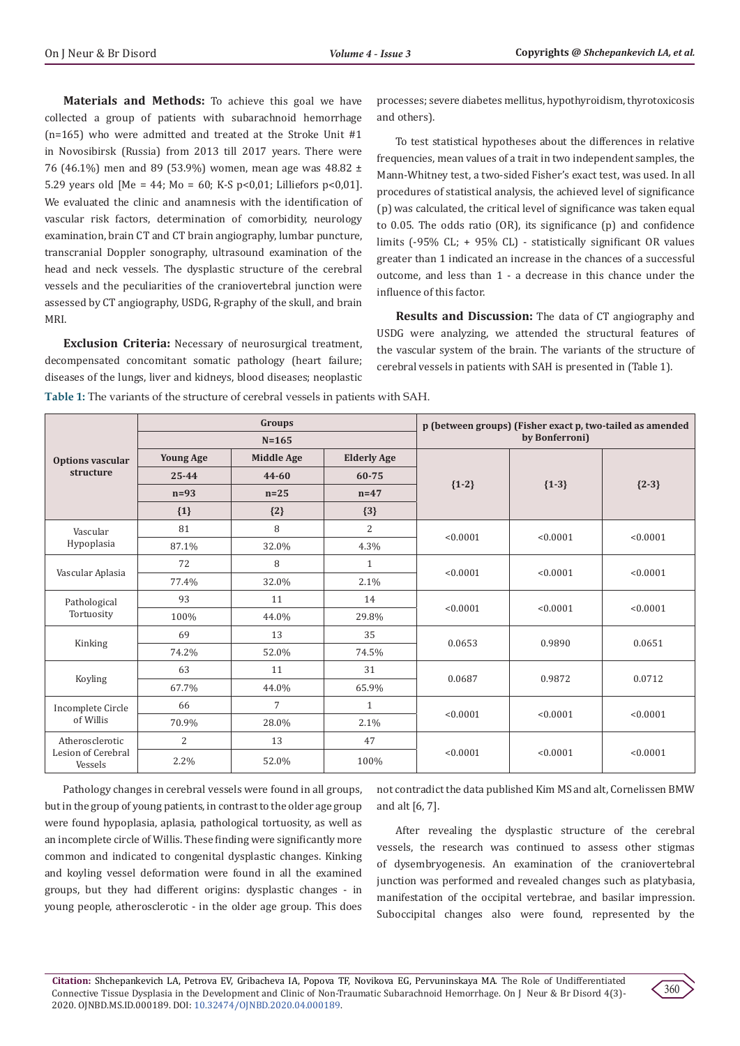**Materials and Methods:** To achieve this goal we have collected a group of patients with subarachnoid hemorrhage (n=165) who were admitted and treated at the Stroke Unit #1 in Novosibirsk (Russia) from 2013 till 2017 years. There were 76 (46.1%) men and 89 (53.9%) women, mean age was 48.82 ± 5.29 years old [Ме = 44; Мо = 60; K-S р<0,01; Lilliefors р<0,01]. We evaluated the clinic and anamnesis with the identification of vascular risk factors, determination of comorbidity, neurology examination, brain CT and CT brain angiography, lumbar puncture, transcranial Doppler sonography, ultrasound examination of the head and neck vessels. The dysplastic structure of the cerebral vessels and the peculiarities of the craniovertebral junction were assessed by CT angiography, USDG, R-graphy of the skull, and brain MRI.

**Exclusion Criteria:** Necessary of neurosurgical treatment, decompensated concomitant somatic pathology (heart failure; diseases of the lungs, liver and kidneys, blood diseases; neoplastic processes; severe diabetes mellitus, hypothyroidism, thyrotoxicosis and others).

To test statistical hypotheses about the differences in relative frequencies, mean values of a trait in two independent samples, the Mann-Whitney test, a two-sided Fisher's exact test, was used. In all procedures of statistical analysis, the achieved level of significance (p) was calculated, the critical level of significance was taken equal to 0.05. The odds ratio (OR), its significance (p) and confidence limits (-95% CL; + 95% CL) - statistically significant OR values greater than 1 indicated an increase in the chances of a successful outcome, and less than 1 - a decrease in this chance under the influence of this factor.

**Results and Discussion:** The data of CT angiography and USDG were analyzing, we attended the structural features of the vascular system of the brain. The variants of the structure of cerebral vessels in patients with SAH is presented in (Table 1).

**Table 1:** The variants of the structure of cerebral vessels in patients with SAH.

| Options vascular<br>structure                    | Groups                              |                                          |                                       | p (between groups) (Fisher exact p, two-tailed as amended<br>by Bonferroni) |          |          |                        |       |       |   |
|--------------------------------------------------|-------------------------------------|------------------------------------------|---------------------------------------|-----------------------------------------------------------------------------|----------|----------|------------------------|-------|-------|---|
|                                                  | $N = 165$                           |                                          |                                       |                                                                             |          |          |                        |       |       |   |
|                                                  | <b>Young Age</b><br>25-44<br>$n=93$ | <b>Middle Age</b><br>$44 - 60$<br>$n=25$ | <b>Elderly Age</b><br>60-75<br>$n=47$ | ${1-2}$                                                                     | ${1-3}$  | ${2-3}$  |                        |       |       |   |
|                                                  |                                     |                                          |                                       |                                                                             |          |          | $\{1\}$                | ${2}$ | ${3}$ |   |
|                                                  |                                     |                                          |                                       |                                                                             |          |          | Vascular<br>Hypoplasia | 81    | 8     | 2 |
|                                                  | 87.1%                               | 32.0%                                    | 4.3%                                  |                                                                             |          |          |                        |       |       |   |
| Vascular Aplasia                                 | 72                                  | 8                                        | $\mathbf{1}$                          | < 0.0001                                                                    | < 0.0001 | < 0.0001 |                        |       |       |   |
|                                                  | 77.4%                               | 32.0%                                    | 2.1%                                  |                                                                             |          |          |                        |       |       |   |
| Pathological<br>Tortuosity                       | 93                                  | 11                                       | 14                                    | < 0.0001                                                                    | < 0.0001 | < 0.0001 |                        |       |       |   |
|                                                  | 100%                                | 44.0%                                    | 29.8%                                 |                                                                             |          |          |                        |       |       |   |
| Kinking                                          | 69                                  | 13                                       | 35                                    | 0.0653                                                                      | 0.9890   | 0.0651   |                        |       |       |   |
|                                                  | 74.2%                               | 52.0%                                    | 74.5%                                 |                                                                             |          |          |                        |       |       |   |
| Koyling                                          | 63                                  | 11                                       | 31                                    | 0.0687                                                                      | 0.9872   | 0.0712   |                        |       |       |   |
|                                                  | 67.7%                               | 44.0%                                    | 65.9%                                 |                                                                             |          |          |                        |       |       |   |
| Incomplete Circle<br>of Willis                   | 66                                  | $\overline{7}$                           | $\mathbf{1}$                          | < 0.0001                                                                    | < 0.0001 | < 0.0001 |                        |       |       |   |
|                                                  | 70.9%                               | 28.0%                                    | 2.1%                                  |                                                                             |          |          |                        |       |       |   |
| Atherosclerotic<br>Lesion of Cerebral<br>Vessels | $\overline{c}$                      | 13                                       | 47                                    | < 0.0001                                                                    | < 0.0001 | < 0.0001 |                        |       |       |   |
|                                                  | 2.2%                                | 52.0%                                    | 100%                                  |                                                                             |          |          |                        |       |       |   |

Pathology changes in cerebral vessels were found in all groups, but in the group of young patients, in contrast to the older age group were found hypoplasia, aplasia, pathological tortuosity, as well as an incomplete circle of Willis. These finding were significantly more common and indicated to congenital dysplastic changes. Kinking and koyling vessel deformation were found in all the examined groups, but they had different origins: dysplastic changes - in young people, atherosclerotic - in the older age group. This does

not contradict the data published Kim MS and alt, Cornelissen BMW and alt [6, 7].

After revealing the dysplastic structure of the cerebral vessels, the research was continued to assess other stigmas of dysembryogenesis. An examination of the craniovertebral junction was performed and revealed changes such as platybasia, manifestation of the occipital vertebrae, and basilar impression. Suboccipital changes also were found, represented by the

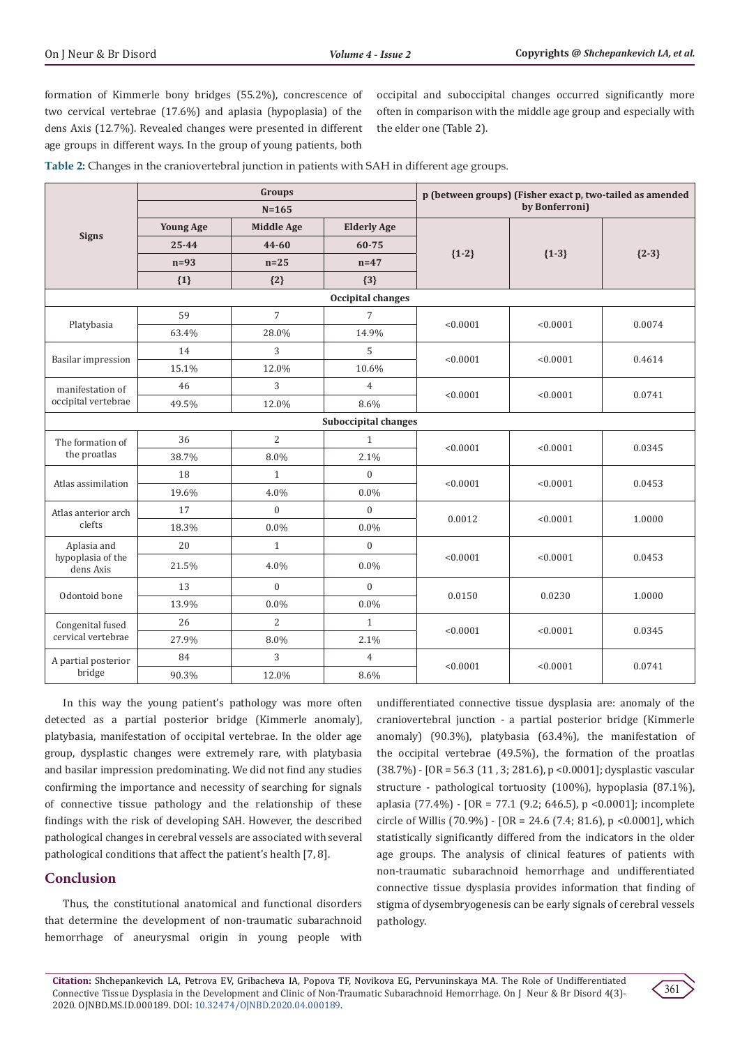formation of Kimmerle bony bridges (55.2%), concrescence of two cervical vertebrae (17.6%) and aplasia (hypoplasia) of the dens Axis (12.7%). Revealed changes were presented in different age groups in different ways. In the group of young patients, both

occipital and suboccipital changes occurred significantly more often in comparison with the middle age group and especially with the elder one (Table 2).

**Table 2:** Changes in the craniovertebral junction in patients with SAH in different age groups.

| <b>Signs</b>                                  | Groups           |                   |                    | p (between groups) (Fisher exact p, two-tailed as amended<br>by Bonferroni) |          |         |  |  |  |  |
|-----------------------------------------------|------------------|-------------------|--------------------|-----------------------------------------------------------------------------|----------|---------|--|--|--|--|
|                                               | $N = 165$        |                   |                    |                                                                             |          |         |  |  |  |  |
|                                               | <b>Young Age</b> | <b>Middle Age</b> | <b>Elderly Age</b> | ${1-2}$                                                                     | ${1-3}$  | ${2-3}$ |  |  |  |  |
|                                               | $25 - 44$        | $44 - 60$         | 60-75              |                                                                             |          |         |  |  |  |  |
|                                               | $n=93$           | $n=25$            | $n=47$             |                                                                             |          |         |  |  |  |  |
|                                               | ${1}$            | ${2}$             | ${3}$              |                                                                             |          |         |  |  |  |  |
| Occipital changes                             |                  |                   |                    |                                                                             |          |         |  |  |  |  |
| Platybasia                                    | 59               | $\overline{7}$    | $\overline{7}$     | < 0.0001                                                                    | < 0.0001 | 0.0074  |  |  |  |  |
|                                               | 63.4%            | 28.0%             | 14.9%              |                                                                             |          |         |  |  |  |  |
| <b>Basilar impression</b>                     | 14               | 3                 | 5                  | < 0.0001                                                                    | < 0.0001 | 0.4614  |  |  |  |  |
|                                               | 15.1%            | 12.0%             | 10.6%              |                                                                             |          |         |  |  |  |  |
| manifestation of<br>occipital vertebrae       | 46               | 3                 | $\overline{4}$     | < 0.0001                                                                    | < 0.0001 | 0.0741  |  |  |  |  |
|                                               | 49.5%            | 12.0%             | 8.6%               |                                                                             |          |         |  |  |  |  |
| Suboccipital changes                          |                  |                   |                    |                                                                             |          |         |  |  |  |  |
| The formation of<br>the proatlas              | 36               | $\overline{2}$    | $\mathbf{1}$       | < 0.0001                                                                    | < 0.0001 | 0.0345  |  |  |  |  |
|                                               | 38.7%            | 8.0%              | 2.1%               |                                                                             |          |         |  |  |  |  |
| Atlas assimilation                            | 18               | $\mathbf{1}$      | $\mathbf{0}$       | < 0.0001                                                                    | < 0.0001 | 0.0453  |  |  |  |  |
|                                               | 19.6%            | 4.0%              | 0.0%               |                                                                             |          |         |  |  |  |  |
| Atlas anterior arch<br>clefts                 | 17               | $\overline{0}$    | $\mathbf{0}$       | 0.0012                                                                      | < 0.0001 | 1.0000  |  |  |  |  |
|                                               | 18.3%            | $0.0\%$           | 0.0%               |                                                                             |          |         |  |  |  |  |
| Aplasia and<br>hypoplasia of the<br>dens Axis | 20               | $\mathbf{1}$      | $\boldsymbol{0}$   | < 0.0001                                                                    | < 0.0001 | 0.0453  |  |  |  |  |
|                                               | 21.5%            | 4.0%              | 0.0%               |                                                                             |          |         |  |  |  |  |
| Odontoid bone                                 | 13               | $\mathbf{0}$      | $\mathbf{0}$       | 0.0150                                                                      | 0.0230   | 1.0000  |  |  |  |  |
|                                               | 13.9%            | $0.0\%$           | 0.0%               |                                                                             |          |         |  |  |  |  |
| Congenital fused<br>cervical vertebrae        | 26               | $\overline{2}$    | $\mathbf{1}$       | < 0.0001                                                                    | < 0.0001 | 0.0345  |  |  |  |  |
|                                               | 27.9%            | 8.0%              | 2.1%               |                                                                             |          |         |  |  |  |  |
| A partial posterior<br>bridge                 | 84               | 3                 | $\overline{4}$     | < 0.0001                                                                    | < 0.0001 | 0.0741  |  |  |  |  |
|                                               | 90.3%            | 12.0%             | 8.6%               |                                                                             |          |         |  |  |  |  |

In this way the young patient's pathology was more often detected as a partial posterior bridge (Kimmerle anomaly), platybasia, manifestation of occipital vertebrae. In the older age group, dysplastic changes were extremely rare, with platybasia and basilar impression predominating. We did not find any studies confirming the importance and necessity of searching for signals of connective tissue pathology and the relationship of these findings with the risk of developing SAH. However, the described pathological changes in cerebral vessels are associated with several pathological conditions that affect the patient's health [7, 8].

# **Conclusion**

Thus, the constitutional anatomical and functional disorders that determine the development of non-traumatic subarachnoid hemorrhage of aneurysmal origin in young people with

undifferentiated connective tissue dysplasia are: anomaly of the craniovertebral junction - a partial posterior bridge (Kimmerle anomaly) (90.3%), platybasia (63.4%), the manifestation of the occipital vertebrae (49.5%), the formation of the proatlas (38.7%) - [OR = 56.3 (11 , 3; 281.6), p <0.0001]; dysplastic vascular structure - pathological tortuosity (100%), hypoplasia (87.1%), aplasia (77.4%) - [OR = 77.1 (9.2; 646.5), p <0.0001]; incomplete circle of Willis (70.9%) -  $[OR = 24.6 (7.4; 81.6), p < 0.0001]$ , which statistically significantly differed from the indicators in the older age groups. The analysis of clinical features of patients with non-traumatic subarachnoid hemorrhage and undifferentiated connective tissue dysplasia provides information that finding of stigma of dysembryogenesis can be early signals of cerebral vessels pathology.